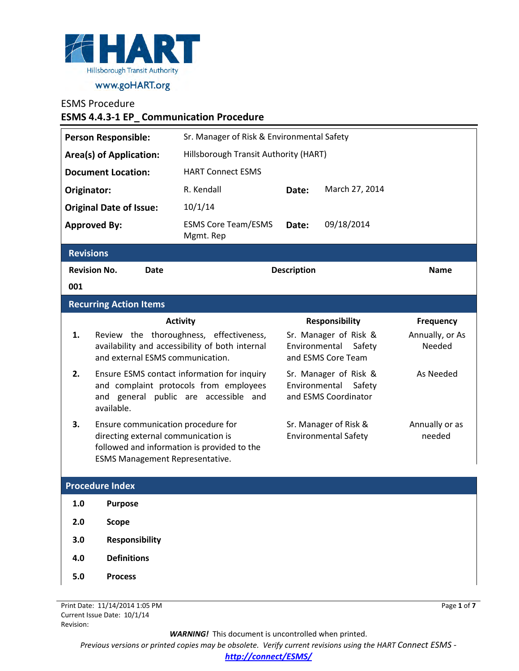

## ESMS Procedure

**ESMS 4.4.3-1 EP\_ Communication Procedure**

| <b>Person Responsible:</b>     |                                                                                                                                                                    | Sr. Manager of Risk & Environmental Safety                                                 |       |                                                                        |                           |  |
|--------------------------------|--------------------------------------------------------------------------------------------------------------------------------------------------------------------|--------------------------------------------------------------------------------------------|-------|------------------------------------------------------------------------|---------------------------|--|
| <b>Area(s) of Application:</b> |                                                                                                                                                                    | Hillsborough Transit Authority (HART)                                                      |       |                                                                        |                           |  |
| <b>Document Location:</b>      |                                                                                                                                                                    | <b>HART Connect ESMS</b>                                                                   |       |                                                                        |                           |  |
| Originator:                    |                                                                                                                                                                    | R. Kendall                                                                                 | Date: | March 27, 2014                                                         |                           |  |
|                                | <b>Original Date of Issue:</b>                                                                                                                                     | 10/1/14                                                                                    |       |                                                                        |                           |  |
|                                | <b>Approved By:</b>                                                                                                                                                | <b>ESMS Core Team/ESMS</b><br>Mgmt. Rep                                                    | Date: | 09/18/2014                                                             |                           |  |
| <b>Revisions</b>               |                                                                                                                                                                    |                                                                                            |       |                                                                        |                           |  |
| <b>Revision No.</b><br>Date    |                                                                                                                                                                    | <b>Description</b>                                                                         |       |                                                                        | <b>Name</b>               |  |
| 001                            |                                                                                                                                                                    |                                                                                            |       |                                                                        |                           |  |
| <b>Recurring Action Items</b>  |                                                                                                                                                                    |                                                                                            |       |                                                                        |                           |  |
|                                |                                                                                                                                                                    | <b>Activity</b>                                                                            |       | <b>Responsibility</b>                                                  | <b>Frequency</b>          |  |
| 1.                             | and external ESMS communication.                                                                                                                                   | Review the thoroughness, effectiveness,<br>availability and accessibility of both internal |       | Sr. Manager of Risk &<br>Environmental<br>Safety<br>and ESMS Core Team | Annually, or As<br>Needed |  |
| 2.                             | Ensure ESMS contact information for inquiry<br>and complaint protocols from employees<br>and general public are accessible and<br>available.                       | Sr. Manager of Risk &<br>Environmental<br>Safety<br>and ESMS Coordinator                   |       | As Needed                                                              |                           |  |
| 3.                             | Ensure communication procedure for<br>directing external communication is<br>followed and information is provided to the<br><b>ESMS Management Representative.</b> |                                                                                            |       | Sr. Manager of Risk &<br><b>Environmental Safety</b>                   | Annually or as<br>needed  |  |
| <b>Procedure Index</b>         |                                                                                                                                                                    |                                                                                            |       |                                                                        |                           |  |
| 1.0                            | <b>Purpose</b>                                                                                                                                                     |                                                                                            |       |                                                                        |                           |  |
| 2.0                            | <b>Scope</b>                                                                                                                                                       |                                                                                            |       |                                                                        |                           |  |
| 3.0                            | <b>Responsibility</b>                                                                                                                                              |                                                                                            |       |                                                                        |                           |  |
| 4.0                            | <b>Definitions</b>                                                                                                                                                 |                                                                                            |       |                                                                        |                           |  |

**5.0 Process**

Print Date: 11/14/2014 1:05 PM Current Issue Date: 10/1/14 Revision:

Page **1** of **7**

*WARNING!*This document is uncontrolled when printed.

*Previous versions or printed copies may be obsolete. Verify current revisions using the HART Connect ESMS -* 

*[http://connect/ESMS/](http://connect/ESMS/default.aspx)*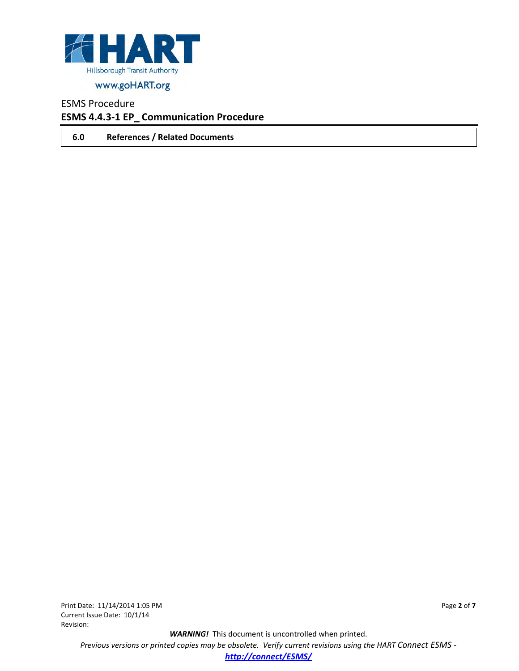

## ESMS Procedure

### **ESMS 4.4.3-1 EP\_ Communication Procedure**

**6.0 References / Related Documents**

*WARNING!*This document is uncontrolled when printed. *Previous versions or printed copies may be obsolete. Verify current revisions using the HART Connect ESMS [http://connect/ESMS/](http://connect/ESMS/default.aspx)*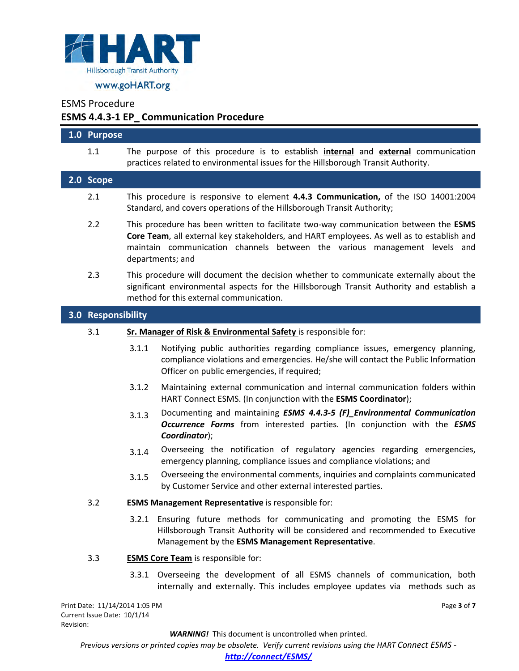

ESMS Procedure

 $\overline{\phantom{a}}$ 

## **ESMS 4.4.3-1 EP\_ Communication Procedure**

| 1.0 Purpose                                  |                                                                                                                                                                                                                                                                                    |  |  |  |
|----------------------------------------------|------------------------------------------------------------------------------------------------------------------------------------------------------------------------------------------------------------------------------------------------------------------------------------|--|--|--|
| 1.1                                          | The purpose of this procedure is to establish <i>internal</i> and <i>external</i> communication<br>practices related to environmental issues for the Hillsborough Transit Authority.                                                                                               |  |  |  |
| 2.0 Scope                                    |                                                                                                                                                                                                                                                                                    |  |  |  |
| 2.1                                          | This procedure is responsive to element 4.4.3 Communication, of the ISO 14001:2004<br>Standard, and covers operations of the Hillsborough Transit Authority;                                                                                                                       |  |  |  |
| 2.2                                          | This procedure has been written to facilitate two-way communication between the ESMS<br>Core Team, all external key stakeholders, and HART employees. As well as to establish and<br>maintain communication channels between the various management levels and<br>departments; and |  |  |  |
| 2.3                                          | This procedure will document the decision whether to communicate externally about the<br>significant environmental aspects for the Hillsborough Transit Authority and establish a<br>method for this external communication.                                                       |  |  |  |
| 3.0 Responsibility                           |                                                                                                                                                                                                                                                                                    |  |  |  |
| 3.1                                          | Sr. Manager of Risk & Environmental Safety is responsible for:                                                                                                                                                                                                                     |  |  |  |
|                                              | Notifying public authorities regarding compliance issues, emergency planning,<br>3.1.1<br>compliance violations and emergencies. He/she will contact the Public Information<br>Officer on public emergencies, if required;                                                         |  |  |  |
|                                              | 3.1.2<br>Maintaining external communication and internal communication folders within<br>HART Connect ESMS. (In conjunction with the ESMS Coordinator);                                                                                                                            |  |  |  |
|                                              | Documenting and maintaining ESMS 4.4.3-5 (F)_Environmental Communication<br>3.1.3<br>Occurrence Forms from interested parties. (In conjunction with the ESMS<br>Coordinator);                                                                                                      |  |  |  |
|                                              | Overseeing the notification of regulatory agencies regarding emergencies,<br>3.1.4<br>emergency planning, compliance issues and compliance violations; and                                                                                                                         |  |  |  |
|                                              | Overseeing the environmental comments, inquiries and complaints communicated<br>3.1.5<br>by Customer Service and other external interested parties.                                                                                                                                |  |  |  |
| 3.2                                          | <b>ESMS Management Representative</b> is responsible for:                                                                                                                                                                                                                          |  |  |  |
|                                              | 3.2.1 Ensuring future methods for communicating and promoting the ESMS for<br>Hillsborough Transit Authority will be considered and recommended to Executive<br>Management by the ESMS Management Representative.                                                                  |  |  |  |
| 3.3                                          | <b>ESMS Core Team</b> is responsible for:                                                                                                                                                                                                                                          |  |  |  |
|                                              | Overseeing the development of all ESMS channels of communication, both<br>3.3.1<br>internally and externally. This includes employee updates via methods such as                                                                                                                   |  |  |  |
| rint Date: 11/14/2014 1:05 PM<br>Page 3 of 7 |                                                                                                                                                                                                                                                                                    |  |  |  |

*WARNING!*This document is uncontrolled when printed.

*Previous versions or printed copies may be obsolete. Verify current revisions using the HART Connect ESMS -*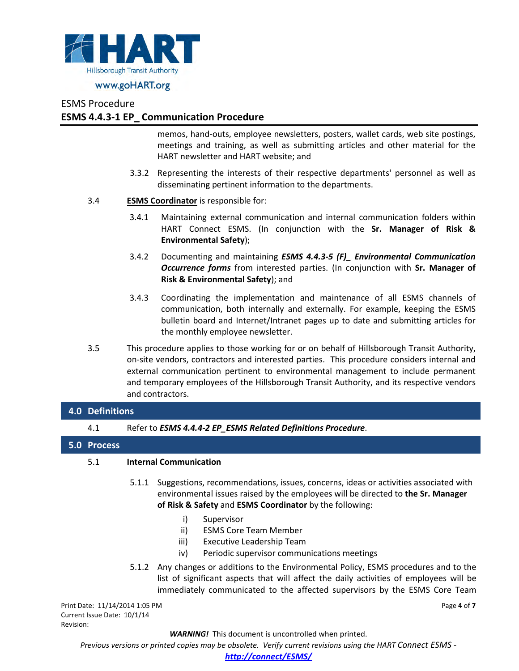

#### ESMS Procedure

### **ESMS 4.4.3-1 EP\_ Communication Procedure**

memos, hand-outs, employee newsletters, posters, wallet cards, web site postings, meetings and training, as well as submitting articles and other material for the HART newsletter and HART website; and

- 3.3.2 Representing the interests of their respective departments' personnel as well as disseminating pertinent information to the departments.
- 3.4 **ESMS Coordinator** is responsible for:
	- 3.4.1 Maintaining external communication and internal communication folders within HART Connect ESMS. (In conjunction with the **Sr. Manager of Risk & Environmental Safety**);
	- 3.4.2 Documenting and maintaining *ESMS 4.4.3-5 (F)\_ Environmental Communication Occurrence forms* from interested parties. (In conjunction with **Sr. Manager of Risk & Environmental Safety**); and
	- 3.4.3 Coordinating the implementation and maintenance of all ESMS channels of communication, both internally and externally. For example, keeping the ESMS bulletin board and Internet/Intranet pages up to date and submitting articles for the monthly employee newsletter.
- 3.5 This procedure applies to those working for or on behalf of Hillsborough Transit Authority, on-site vendors, contractors and interested parties. This procedure considers internal and external communication pertinent to environmental management to include permanent and temporary employees of the Hillsborough Transit Authority, and its respective vendors and contractors.

#### **4.0 Definitions**

4.1 Refer to *ESMS 4.4.4-2 EP\_ESMS Related Definitions Procedure*.

#### **5.0 Process**

#### 5.1 **Internal Communication**

- 5.1.1 Suggestions, recommendations, issues, concerns, ideas or activities associated with environmental issues raised by the employees will be directed to **the Sr. Manager of Risk & Safety** and **ESMS Coordinator** by the following:
	- i) Supervisor
	- ii) ESMS Core Team Member
	- iii) Executive Leadership Team
	- iv) Periodic supervisor communications meetings
- 5.1.2 Any changes or additions to the Environmental Policy, ESMS procedures and to the list of significant aspects that will affect the daily activities of employees will be immediately communicated to the affected supervisors by the ESMS Core Team

Page **4** of **7**

Print Date: 11/14/2014 1:05 PM Current Issue Date: 10/1/14 Revision:

*WARNING!*This document is uncontrolled when printed.

*Previous versions or printed copies may be obsolete. Verify current revisions using the HART Connect ESMS -* 

*[http://connect/ESMS/](http://connect/ESMS/default.aspx)*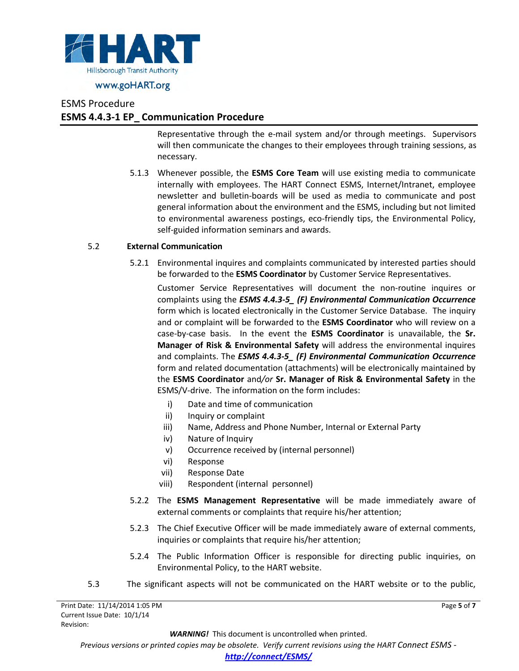

## ESMS Procedure **ESMS 4.4.3-1 EP\_ Communication Procedure**

Representative through the e-mail system and/or through meetings. Supervisors will then communicate the changes to their employees through training sessions, as necessary.

5.1.3 Whenever possible, the **ESMS Core Team** will use existing media to communicate internally with employees. The HART Connect ESMS, Internet/Intranet, employee newsletter and bulletin-boards will be used as media to communicate and post general information about the environment and the ESMS, including but not limited to environmental awareness postings, eco-friendly tips, the Environmental Policy, self-guided information seminars and awards.

#### 5.2 **External Communication**

5.2.1 Environmental inquires and complaints communicated by interested parties should be forwarded to the **ESMS Coordinator** by Customer Service Representatives.

Customer Service Representatives will document the non-routine inquires or complaints using the *ESMS 4.4.3-5\_ (F) Environmental Communication Occurrence* form which is located electronically in the Customer Service Database. The inquiry and or complaint will be forwarded to the **ESMS Coordinator** who will review on a case-by-case basis. In the event the **ESMS Coordinator** is unavailable, the **Sr. Manager of Risk & Environmental Safety** will address the environmental inquires and complaints. The *ESMS 4.4.3-5\_ (F) Environmental Communication Occurrence* form and related documentation (attachments) will be electronically maintained by the **ESMS Coordinator** and*/or* **Sr. Manager of Risk & Environmental Safety** in the ESMS/V-drive. The information on the form includes:

- i) Date and time of communication
- ii) Inquiry or complaint
- iii) Name, Address and Phone Number, Internal or External Party
- iv) Nature of Inquiry
- v) Occurrence received by (internal personnel)
- vi) Response
- vii) Response Date
- viii) Respondent (internal personnel)
- 5.2.2 The **ESMS Management Representative** will be made immediately aware of external comments or complaints that require his/her attention;
- 5.2.3 The Chief Executive Officer will be made immediately aware of external comments, inquiries or complaints that require his/her attention;
- 5.2.4 The Public Information Officer is responsible for directing public inquiries, on Environmental Policy, to the HART website.
- 5.3 The significant aspects will not be communicated on the HART website or to the public,

*WARNING!*This document is uncontrolled when printed.

Page **5** of **7**

*Previous versions or printed copies may be obsolete. Verify current revisions using the HART Connect ESMS -*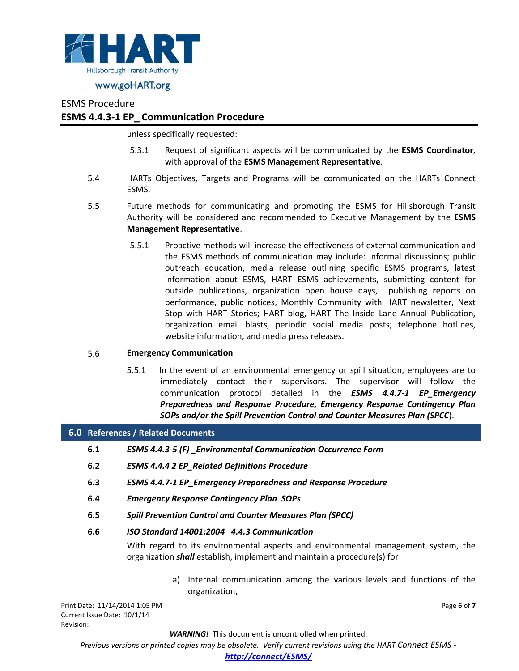

#### ESMS Procedure

#### **ESMS 4.4.3-1 EP\_ Communication Procedure**

unless specifically requested:

- 5.3.1 Request of significant aspects will be communicated by the **ESMS Coordinator**, with approval of the **ESMS Management Representative**.
- 5.4 HARTs Objectives, Targets and Programs will be communicated on the HARTs Connect ESMS.
- 5.5 Future methods for communicating and promoting the ESMS for Hillsborough Transit Authority will be considered and recommended to Executive Management by the **ESMS Management Representative**.
	- 5.5.1 Proactive methods will increase the effectiveness of external communication and the ESMS methods of communication may include: informal discussions; public outreach education, media release outlining specific ESMS programs, latest information about ESMS, HART ESMS achievements, submitting content for outside publications, organization open house days, publishing reports on performance, public notices, Monthly Community with HART newsletter, Next Stop with HART Stories; HART blog, HART The Inside Lane Annual Publication, organization email blasts, periodic social media posts; telephone hotlines, website information, and media press releases.

#### 5.6 **Emergency Communication**

5.5.1 In the event of an environmental emergency or spill situation, employees are to immediately contact their supervisors. The supervisor will follow the communication protocol detailed in the *ESMS 4.4.7-1 EP\_Emergency Preparedness and Response Procedure, Emergency Response Contingency Plan SOPs and/or the Spill Prevention Control and Counter Measures Plan (SPCC*).

#### **6.0 References / Related Documents**

- **6.1** *ESMS 4.4.3-5 (F) \_Environmental Communication Occurrence Form*
- **6.2** *ESMS 4.4.4 2 EP\_Related Definitions Procedure*
- **6.3** *ESMS 4.4.7-1 EP\_Emergency Preparedness and Response Procedure*
- **6.4** *Emergency Response Contingency Plan SOPs*
- **6.5** *Spill Prevention Control and Counter Measures Plan (SPCC)*

#### **6.6** *ISO Standard 14001:2004 4.4.3 Communication*

With regard to its environmental aspects and environmental management system, the organization *shall* establish, implement and maintain a procedure(s) for

> a) Internal communication among the various levels and functions of the organization,

> > Page **6** of **7**

Print Date: 11/14/2014 1:05 PM Current Issue Date: 10/1/14 Revision:

*WARNING!*This document is uncontrolled when printed.

*Previous versions or printed copies may be obsolete. Verify current revisions using the HART Connect ESMS -* 

*[http://connect/ESMS/](http://connect/ESMS/default.aspx)*